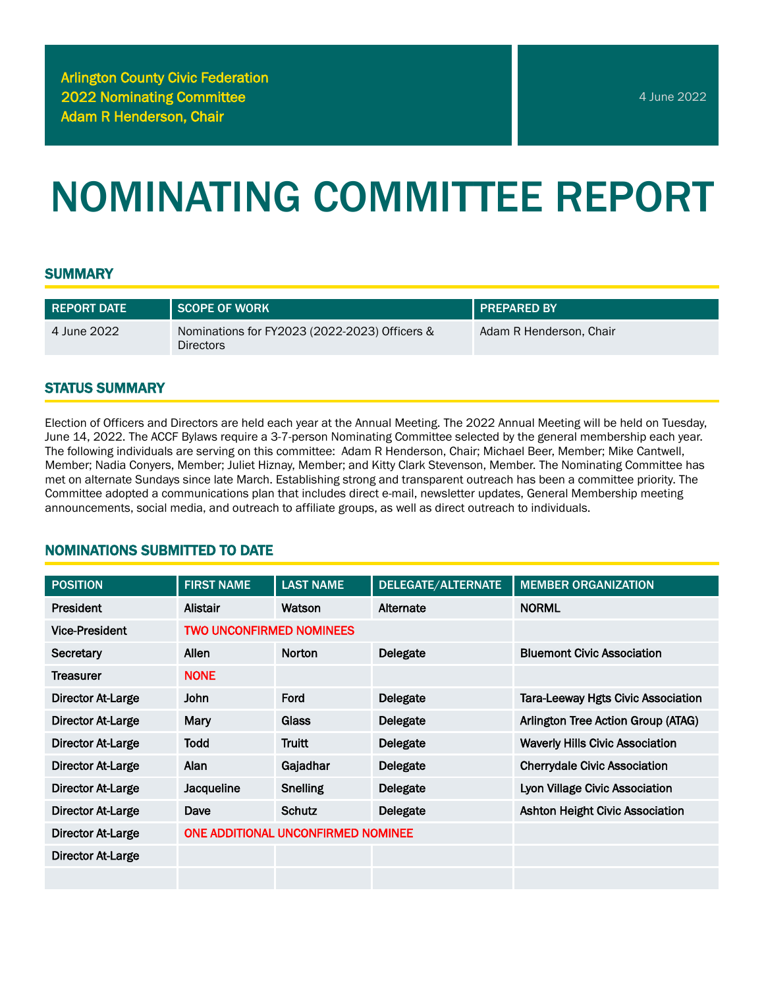# NOMINATING COMMITTEE REPORT

#### **SUMMARY**

| <b>REPORT DATE</b> | <b>SCOPE OF WORK</b>                                              | <b>FREPARED BY</b>      |
|--------------------|-------------------------------------------------------------------|-------------------------|
| 4 June 2022        | Nominations for FY2023 (2022-2023) Officers &<br><b>Directors</b> | Adam R Henderson, Chair |

#### STATUS SUMMARY

Election of Officers and Directors are held each year at the Annual Meeting. The 2022 Annual Meeting will be held on Tuesday, June 14, 2022. The ACCF Bylaws require a 3-7-person Nominating Committee selected by the general membership each year. The following individuals are serving on this committee: Adam R Henderson, Chair; Michael Beer, Member; Mike Cantwell, Member; Nadia Conyers, Member; Juliet Hiznay, Member; and Kitty Clark Stevenson, Member. The Nominating Committee has met on alternate Sundays since late March. Establishing strong and transparent outreach has been a committee priority. The Committee adopted a communications plan that includes direct e-mail, newsletter updates, General Membership meeting announcements, social media, and outreach to affiliate groups, as well as direct outreach to individuals.

## NOMINATIONS SUBMITTED TO DATE

| <b>POSITION</b>          | <b>FIRST NAME</b>                  | <b>LAST NAME</b> | DELEGATE/ALTERNATE | <b>MEMBER ORGANIZATION</b>                |
|--------------------------|------------------------------------|------------------|--------------------|-------------------------------------------|
| President                | Alistair                           | Watson           | Alternate          | <b>NORML</b>                              |
| <b>Vice-President</b>    | <b>TWO UNCONFIRMED NOMINEES</b>    |                  |                    |                                           |
| Secretary                | Allen                              | <b>Norton</b>    | Delegate           | <b>Bluemont Civic Association</b>         |
| Treasurer                | <b>NONE</b>                        |                  |                    |                                           |
| <b>Director At-Large</b> | <b>John</b>                        | Ford             | Delegate           | <b>Tara-Leeway Hgts Civic Association</b> |
| <b>Director At-Large</b> | Mary                               | Glass            | <b>Delegate</b>    | Arlington Tree Action Group (ATAG)        |
| Director At-Large        | <b>Todd</b>                        | <b>Truitt</b>    | <b>Delegate</b>    | <b>Waverly Hills Civic Association</b>    |
| <b>Director At-Large</b> | Alan                               | Gajadhar         | <b>Delegate</b>    | <b>Cherrydale Civic Association</b>       |
| Director At-Large        | Jacqueline                         | <b>Snelling</b>  | Delegate           | Lyon Village Civic Association            |
| <b>Director At-Large</b> | Dave                               | Schutz           | <b>Delegate</b>    | <b>Ashton Height Civic Association</b>    |
| <b>Director At-Large</b> | ONE ADDITIONAL UNCONFIRMED NOMINEE |                  |                    |                                           |
| Director At-Large        |                                    |                  |                    |                                           |
|                          |                                    |                  |                    |                                           |